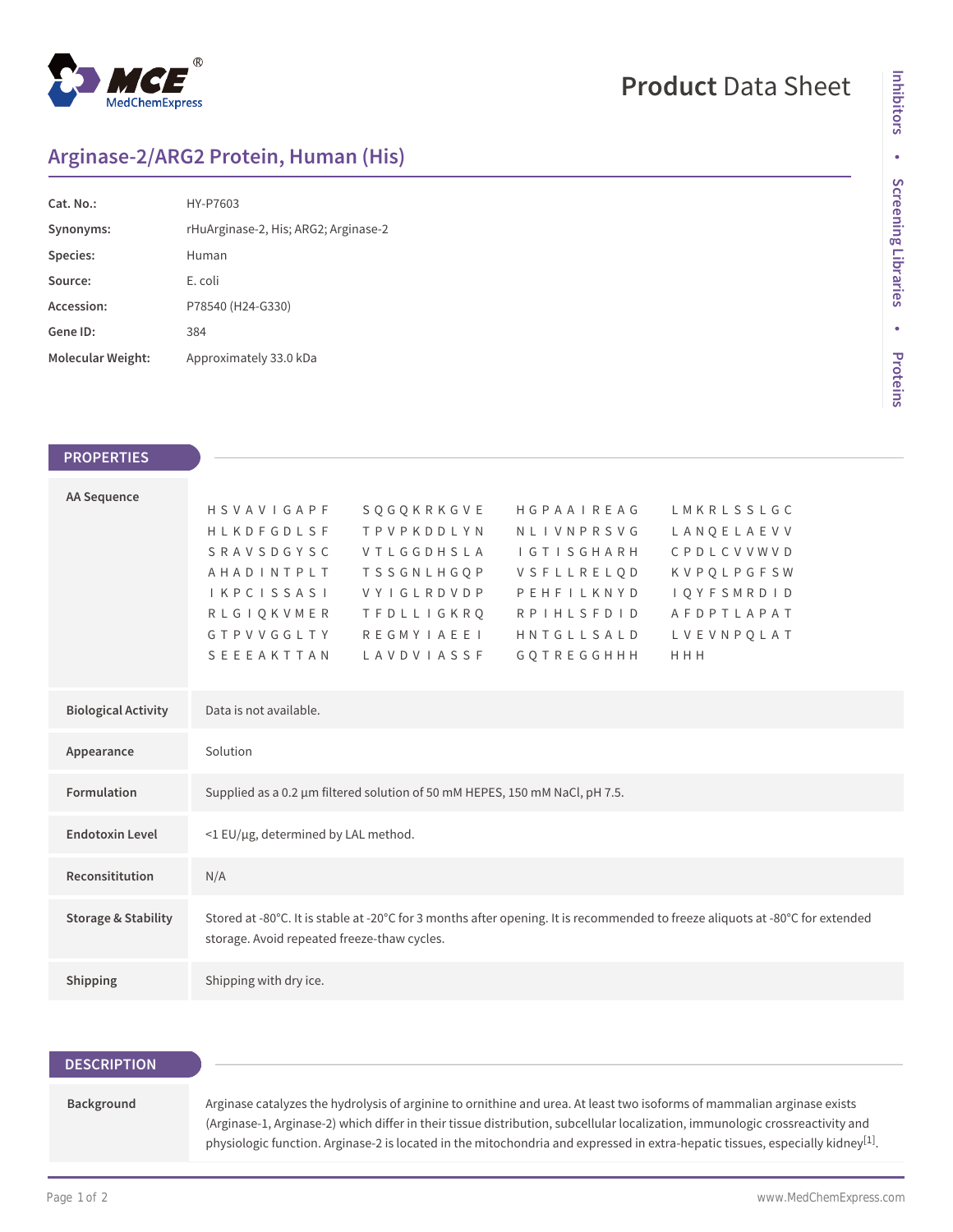

# **Product** Data Sheet

## **Arginase-2/ARG2 Protein, Human (His)**

| Cat. No.:         | HY-P7603                             |  |
|-------------------|--------------------------------------|--|
| Synonyms:         | rHuArginase-2, His; ARG2; Arginase-2 |  |
| Species:          | Human                                |  |
| Source:           | E. coli                              |  |
| Accession:        | P78540 (H24-G330)                    |  |
| Gene ID:          | 384                                  |  |
| Molecular Weight: | Approximately 33.0 kDa               |  |

| <b>PROPERTIES</b>              |                                                                             |                                             |                                 |                                                                                                                               |  |
|--------------------------------|-----------------------------------------------------------------------------|---------------------------------------------|---------------------------------|-------------------------------------------------------------------------------------------------------------------------------|--|
|                                |                                                                             |                                             |                                 |                                                                                                                               |  |
| <b>AA Sequence</b>             | HSVAVIGAPF                                                                  | SOGOKRKGVE                                  | HGPAAIREAG                      | LMKRLSSLGC                                                                                                                    |  |
|                                | HLKDFGDLSF                                                                  | <b>TPVPKDDLYN</b>                           | NLIVNPRSVG                      | LANQELAEVV                                                                                                                    |  |
|                                | <b>SRAVSDGYSC</b>                                                           | VTLGGDHSLA                                  | <b>IGTISGHARH</b>               | CPDLCVVWVD                                                                                                                    |  |
|                                | AHADINTPLT                                                                  | <b>TSSGNLHGQP</b><br>VYIGLRDVDP             | VSFLLRELQD                      | <b>KVPQLPGFSW</b>                                                                                                             |  |
|                                | IKPCISSASI<br><b>RLGIQKVMER</b>                                             | TFDLLIGKRQ                                  | PEHFILKNYD<br><b>RPIHLSFDID</b> | <b>IQYFSMRDID</b><br>AFDPTLAPAT                                                                                               |  |
|                                | GTPVVGGLTY                                                                  | <b>REGMYIAEEI</b>                           | HNTGLLSALD                      | LVEVNPQLAT                                                                                                                    |  |
|                                | SEEEAKTTAN                                                                  | LAVDVIASSF                                  | GQTREGGHHH                      | HHH                                                                                                                           |  |
|                                |                                                                             |                                             |                                 |                                                                                                                               |  |
| <b>Biological Activity</b>     | Data is not available.                                                      |                                             |                                 |                                                                                                                               |  |
| Appearance                     | Solution                                                                    |                                             |                                 |                                                                                                                               |  |
| Formulation                    |                                                                             |                                             |                                 |                                                                                                                               |  |
|                                | Supplied as a 0.2 µm filtered solution of 50 mM HEPES, 150 mM NaCl, pH 7.5. |                                             |                                 |                                                                                                                               |  |
| <b>Endotoxin Level</b>         |                                                                             | <1 EU/µg, determined by LAL method.         |                                 |                                                                                                                               |  |
| Reconsititution                |                                                                             |                                             |                                 |                                                                                                                               |  |
|                                | N/A                                                                         |                                             |                                 |                                                                                                                               |  |
| <b>Storage &amp; Stability</b> |                                                                             |                                             |                                 | Stored at -80°C. It is stable at -20°C for 3 months after opening. It is recommended to freeze aliquots at -80°C for extended |  |
|                                |                                                                             | storage. Avoid repeated freeze-thaw cycles. |                                 |                                                                                                                               |  |
| Shipping                       | Shipping with dry ice.                                                      |                                             |                                 |                                                                                                                               |  |
|                                |                                                                             |                                             |                                 |                                                                                                                               |  |

### **DESCRIPTION**

Background Arginase catalyzes the hydrolysis of arginine to ornithine and urea. At least two isoforms of mammalian arginase exists (Arginase-1, Arginase-2) which differ in their tissue distribution, subcellular localization, immunologic crossreactivity and physiologic function. Arginase-2 is located in the mitochondria and expressed in extra-hepatic tissues, especially kidney $^{[1]}$ .